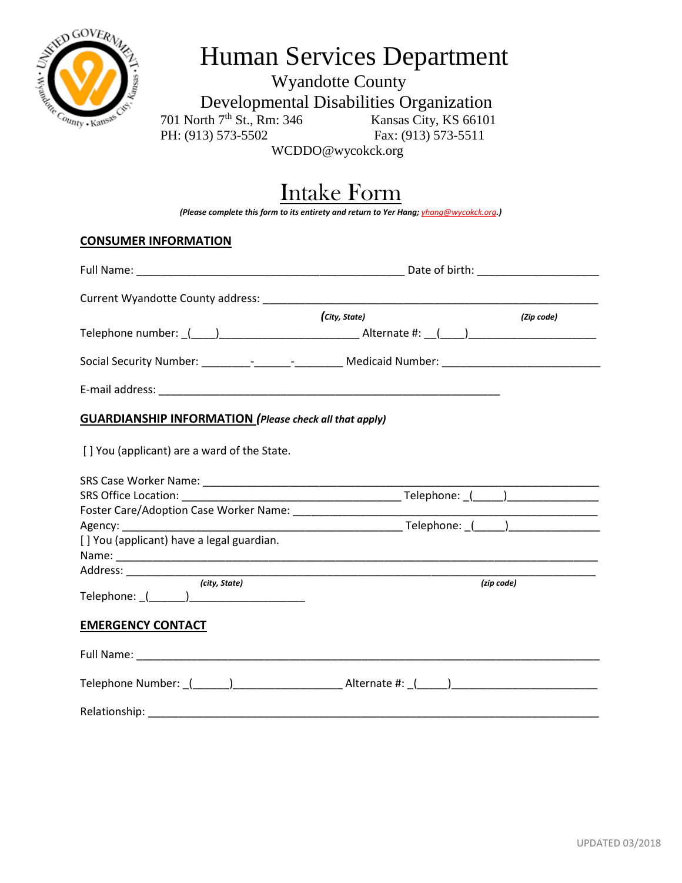

## Human Services Department

Wyandotte County Developmental Disabilities Organization<br>
rth 7<sup>th</sup> St., Rm: 346 Kansas City, KS 66101 701 North 7<sup>th</sup> St., Rm: 346 PH: (913) 573-5502 Fax: (913) 573-5511

WCDDO@wycokck.org

## Intake Form

*(Please complete this form to its entirety and return to Yer Hang; yhang@wycokck.org.)*

## **CONSUMER INFORMATION**

| (City, State)<br>(Zip code)                                                                                         |                                                                                                      |  |  |
|---------------------------------------------------------------------------------------------------------------------|------------------------------------------------------------------------------------------------------|--|--|
|                                                                                                                     |                                                                                                      |  |  |
|                                                                                                                     | Social Security Number: _________________________________Medicaid Number: _________________________  |  |  |
|                                                                                                                     |                                                                                                      |  |  |
| <b>GUARDIANSHIP INFORMATION</b> (Please check all that apply)                                                       |                                                                                                      |  |  |
| [] You (applicant) are a ward of the State.                                                                         |                                                                                                      |  |  |
|                                                                                                                     |                                                                                                      |  |  |
|                                                                                                                     |                                                                                                      |  |  |
|                                                                                                                     |                                                                                                      |  |  |
|                                                                                                                     |                                                                                                      |  |  |
| [] You (applicant) have a legal guardian.                                                                           |                                                                                                      |  |  |
|                                                                                                                     |                                                                                                      |  |  |
| (city, State)                                                                                                       | (zip code)                                                                                           |  |  |
| <b>EMERGENCY CONTACT</b>                                                                                            |                                                                                                      |  |  |
| Full Name: The Commission of the Commission of the Commission of the Commission of the Commission of the Commission |                                                                                                      |  |  |
|                                                                                                                     | Telephone Number: (______)__________________________Alternate #: _(_____)___________________________ |  |  |
|                                                                                                                     |                                                                                                      |  |  |